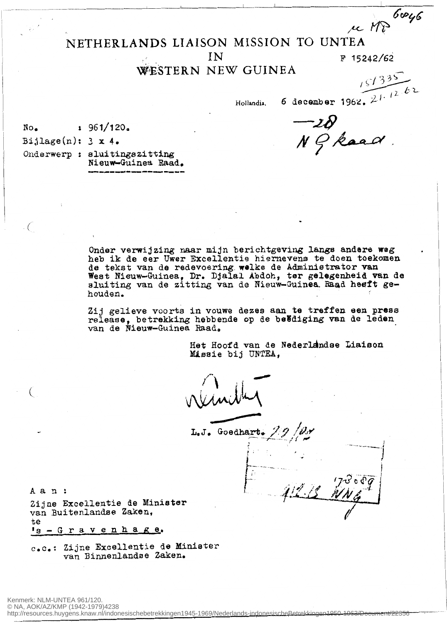# NETHERLANDS LIAISON MISSION TO UNTEA

IN

F **15242/62** 

re MP

## WESTERN NEW GUINEA

 $C1335$  $\sim$   $2c^2$ 

 $6046$ 

.

**Hollandia,** 

**6** december **1**962.  $2^{11}$ No. *t* **961/120.**<br> **Bijlage(n):** 3 x 4. *M Q kaad* 

**I** 

**Bijlage(n): 3 x 4.** 

**0nderwerp** : sluitingszitting **Nieuw-Guinea Raad.** 

> **Onder verwijzing naar mijn berichtgeving langs andere weg heb ik de eer Uwer Excellentie hiornevenn te doen toekomen de tekst van de redevoering welke de Adminietrator van West Nieuw-Guinea, Dr.** Djalal **Abdok, ter gelegenheid van de sluiting van de zitting van ds Nieuw-Guinea, Raad hesft gehouden.**

**Zij gelieve voorts in vouwe dezes** aan **te treffen een press release, betrekking hebbende op de beëdiging van de leden van de** Nieuw-Guinea **Raado** 

> Het Hoofd van de Nederlandse Liaison **Miseie bij UNTEA,**

\.

Goedhart

**Aan:** 

**Zijne Excellentie de Minister van Buitenlandse** Zaken, **te** 

**1s** - **G r a v e n h a** *R* **e.** 

**C. C.** : Zijne **Excellentie de Minirater**  van Binnenlandse Zaken.

http://resources.huygens.knaw.nl/indonesischebetrekkingen1945-1969/Nederlands-indonesischeBetrekkingen1950-1963/Document/22356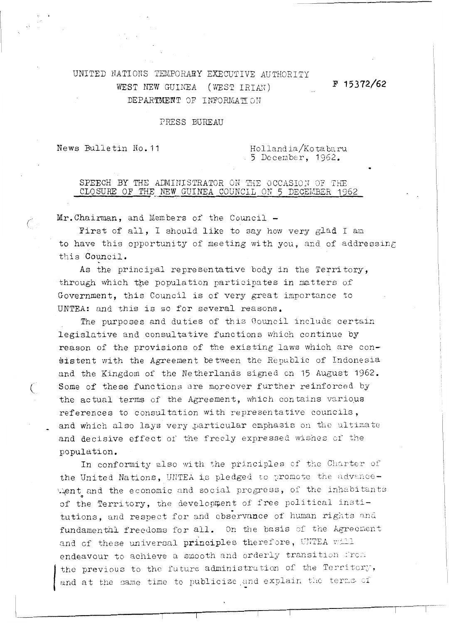### UNITED NATIONS TEMPORARY EXECUTIVE AUTHORITY WEST NEW GUINEA (WEST IRIAN) DEPARTMENT OF INFORMATION

 $F 15372/62$ 

#### PRESS BUREAU

News Bulletin No. 11

(

Hollandia/Kotabaru 5 December, 1962.

SPEECH BY THE ADMINISTRATOR ON THE OCCASION OF THE CLOSURE OF THE NEW GUINEA COUNCIL ON 5 DECEMBER 1962

Mr. Chairman, and Members of the Council -

First of all. I should like to say how very glad I am to have this opportunity of meeting with you, and of addressing this Council.

As the principal representative body in the Territory, through which the population participates in matters of Government, this Council is of very great importance to UNTEA: and this is so for several reasons.

The purposes and duties of this Council include certain legislative and consultative functions which continue by reason of the provisions of the existing laws which are consistent with the Agreement between the Republic of Indonesia and the Kingdom of the Netherlands signed on 15 August 1962. Some of these functions are moreover further reinforced by the actual terms of the Agreement, which contains various references to consultation with representative councils, and which also lays very particular emphasis on the ultimate and decisive effect of the freely expressed wishes of the population.

In conformity also with the principles of the Charter of the United Nations, UNTEA is pledged to promote the advancewhent and the economic and social progress, of the inhabitants of the Territory, the development of free political institutions, and respect for and observance of human rights and fundamental freedoms for all. On the basis of the Agreement and of these universal principles therefore, UNTEA will endeavour to achieve a smooth and orderly transition from the previous to the future administration of the Territory, and at the same time to publicize and explain the terms of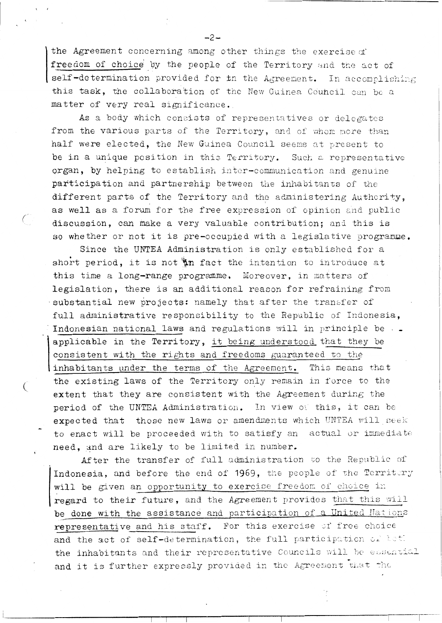the Agreement concerning among other things the exercise of freedom of choice by the people of the Territory and the act of self-determination provided for th the Agreement. In accomplishing this task, the collaboration of the New Guinea Council can be a matter of very real significance.

As a body which consists of representatives or delegates from the various parts of the Territory, and of whom more than half were elected, the New Guinea Council seems at present to be in a unique position in this Territory. Such a representative organ, by helping to establish inter-communication and genuine participation and partnership between the inhabitants of the different parts of the Territory and the administering Authority. as well as a forum for the free expression of opinion and public discussion, can make a very valuable contribution; and this is so whether or not it is pre-occupied with a legislative programme.

Since the UNTEA Administration is only established for a short period, it is not in fact the intention to introduce at this time a long-range programme. Moreover, in matters of legislation, there is an additional reason for refraining from substantial new projects: namely that after the transfer of full administrative responsibility to the Republic of Indonesia, Indonesian national laws and regulations will in principle be.. applicable in the Territory, it being understood that they be consistent with the rights and freedoms guaranteed to the inhabitants under the terms of the Agreement. This means that the existing laws of the Territory only remain in force to the extent that they are consistent with the Agreement during the period of the UNTEA Administration. In view of this, it can be expected that those new laws or amendments which UNTEA will seek to enact will be proceeded with to satisfy an actual or immediate need, and are likely to be limited in number.

After the transfer of full administration to the Republic of Indonesia, and before the end of 1969, the people of the Territery will be given an opportunity to exercise freedom of choice in regard to their future, and the Agreement provides that this will be done with the assistance and participation of a United Nations representative and his staff. For this exercise of free choice and the act of self-determination, the full participation of beth the inhabitants and their representative Councils will be essential and it is further expressly provided in the Agreement that the

 $-2-$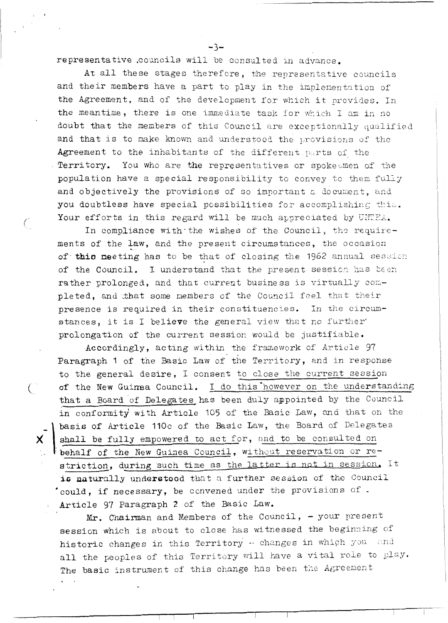representative councils will be consulted in advance.

 $-3-$ 

At all these stages therefore, the representative councils and their members have a part to play in the implementation of the Agreement, and of the development for which it provides. In the meantime, there is one immediate task for which I am in no doubt that the members of this Council are exceptionally qualified and that is to make known and understood the provisions of the Agreement to the inhabitants of the different parts of the Territory. You who are the representatives or spokesmen of the population have a special responsibility to convey to them fully and objectively the provisions of so important a document, and you doubtless have special possibilities for accomplishing this. Your efforts in this regard will be much appreciated by UNTEA.

In compliance with the wishes of the Council, the requirements of the law, and the present circumstances, the occasion of this neeting has to be that of closing the 1962 annual session of the Council. I understand that the present session has been rather prolonged, and that current business is virtually completed, and that some members of the Council feel that their presence is required in their constituencies. In the circumstances, it is I believe the general view that no further prolongation of the current session would be justifiable.

Accordingly, acting within the framework of Article 97 Paragraph 1 of the Basic Law of the Territory, and in response to the general desire, I consent to close the current session of the New Guimea Council. I do this however on the understanding that a Board of Delegates has been duly appointed by the Council in conformity with Article 105 of the Basic Law, and that on the basis of Article 110c of the Basic Law, the Board of Delegates shall be fully empowered to act for, and to be consulted on behalf of the New Guinea Council, without reservation or restriction, during such time as the latter is not in session. It is naturally understood that a further session of the Council 'could, if necessary, be convened under the provisions of. Article 97 Paragraph 2 of the Basic Law.

Mr. Chairman and Members of the Council, - your present session which is about to close has witnessed the beginning of historic changes in this Territory -- changes in which you and all the peoples of this Territory will have a vital role to play. The basic instrument of this change has been the Agreement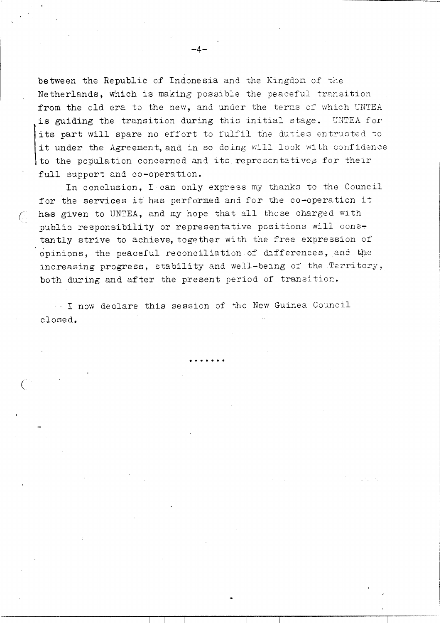between the Republic of Indonesia and the Kingdom of the Netherlands, which is making possible the peaceful transition from the old era to the new, and under the terms of which UNTEA is guiding the transition during this initial stage. WTEA for its part will spare no effort to fulfil the duties entrusted to it under the Agreement, and in so doing will look with confidence it under the Agreement, and in so doing will look with confiden<br>to the population concerned and its representatives for their full support and co-operation.

In conclusion, I can only express my thanks to the Council for the services it has performed and for the co-operation it has given to UNTEA, and my hope that all those charged with public responsibility or representative pcsitiona will constantly strive to achieve, together with the free expression of opinions, the peaceful reconciliation of differences, and the increasing progress, stability and well-being of the Territory, both during and after the present period of transitioz.

 $\binom{n}{k}$ 

,

'. I now declare this session of the New Guinea Council closed.

**.....S.** 

-4-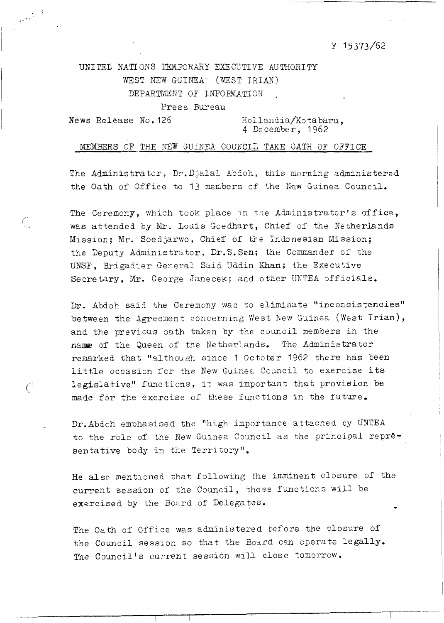#### $F 15373/62$

## UNITEL NATIONS TEMPORARY EXECUTIVE AUTHORITY WEST NEW GUINEA- (WEST IRIAN) DEPARTMENT OF INFORMATION

#### Press Bureau

 $\frac{1}{e^{\frac{1}{2} \pi i}} \nabla^{-\frac{1}{2}}$ 

 $\binom{n}{n}$ 

News Release No. 126 Hollandia/Kotabaru, 4 December, 1962

#### MEMBERS OF THE NEW GUINEA COUNCIL TAKE OATH OF OFFICE

The Administrator, Dr.Djalal Abdoh, this morning administered the Oath of Office to 13 members of the New Guinea Council.

The Ceremony, which took place in the Administrator's office, was attended by Mr. Louis Goedhart, Chief of the Netherlands Mission; Mr. Soedjarwo, Chief of the Indonesian Mission; the Deputy Administrator, **Dr.S.Sen;** the Comander of the UNSF, Brigadier General Said Uddin Khan; the Executive Secretary, Mr. George Janecek; and other UNTEA officials.

Dr. Abdoh said the Ceremony was to eliminate "inconsistencies" between the Agreement concerning West New Guinea (West Irian), and the previous oath taken by the council members in the name of the Queen of the Netherlands. The Administrator remarked that "although since 1 October 1962 there has been little occasion for the New Guinea Council to exercise its legislative" functions, it was important that provision be made for the exercise of these functions in the future,

Dr.Abdoh emphasised the "high importance attached by UNTEA to the role of the New Guinea Council as the principal reprësentative body in the Territory".

He also mentioned that following the imminent closure of the current session of the Council, these functions will be exercised by the Board of Delegates.

The Oath of Office was administered before the closure of the Council session so that the Board can operate legally. The Council's current session will close tomorrow.